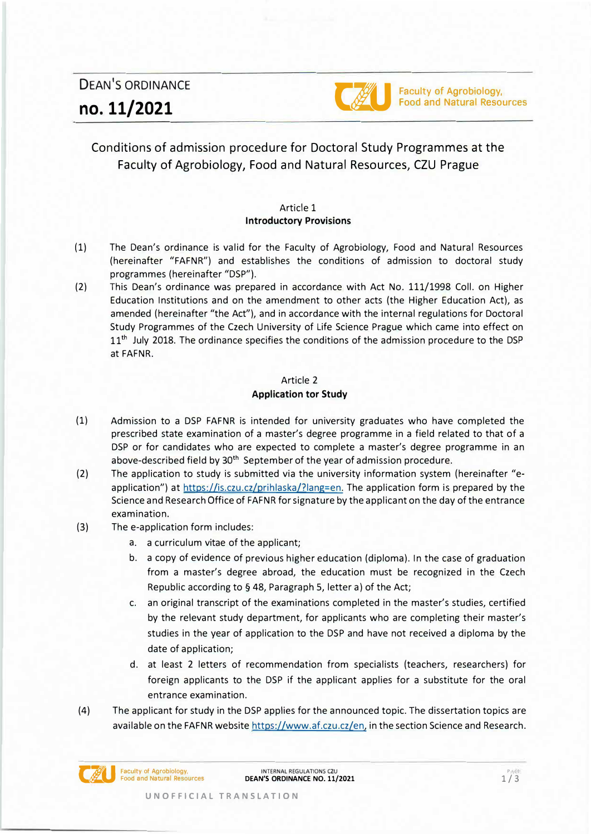DEAN'S ORDINANCE **no. 11/2021 Company of Agrobiology.**<br> **c**: **no. 11/2021 c**: **no.** 11/2021



# Conditions of admission procedure for Doctoral Study Programmes at the Faculty of Agrobiology, Food and Natural Resources, CZU Prague

## Article 1 **lntroductory Provisions**

- (1) The Dean's ordinance is valid for the Faculty of Agrobiology, Food and Natural Resources (hereinafter "FAFNR") and establishes the conditions of admission to doctoral study programmes (hereinafter "DSP").
- (2) This Dean's ordinance was prepared in accordance with Act No. 111/1998 Coll. on Higher Education lnstitutions and on the amendment to other acts (the Higher Education Act), as amended (hereinafter "the Act"), and in accordance with the internal regulations for Doctoral Study Programmes of the Czech University of Life Science Prague which came into effect on 11<sup>th</sup> July 2018. The ordinance specifies the conditions of the admission procedure to the DSP at FAFNR.

# Article 2 **Application tor Study**

- (1) Admission to a DSP FAFNR is intended for university graduates who have completed the prescribed state examination of a master's degree programme in a field related to that of a DSP or for candidates who are expected to complete a master's degree programme in an above-described field by 30<sup>th</sup> September of the year of admission procedure.
- (2) The application to study is submitted via the university information system (hereinafter "eapplication") at https://is.czu.cz/prihlaska/?lang=en. The application form is prepared by the Science and Research Office of FAFNR for signature by the applicant on the day of the entrance examination.
- (3) The e-application form includes:
	- a. a curriculum vitae of the applicant;
	- b. a copy of evidence of previous higher education (diploma). ln the case of graduation from a master's degree abroad, the education must be recognized in the Czech Republic according to§ 48, Paragraph S, letter a) of the Act;
	- c. an original transcript of the examinations completed in the master's studies, certified by the relevant study department, for applicants who are completing their master's studies in the year of application to the DSP and have not received a diploma by the date of application;
	- d. at least 2 letters of recommendation from specialists (teachers, researchers) for foreign applicants to the DSP if the applicant applies for a substitute for the oral entrance examination.
- (4) The applicant for study in the DSP applies for the announced topic. The dissertation topics are available on the FAFNR website https://www.af.czu.cz/en, in the section Science and Research.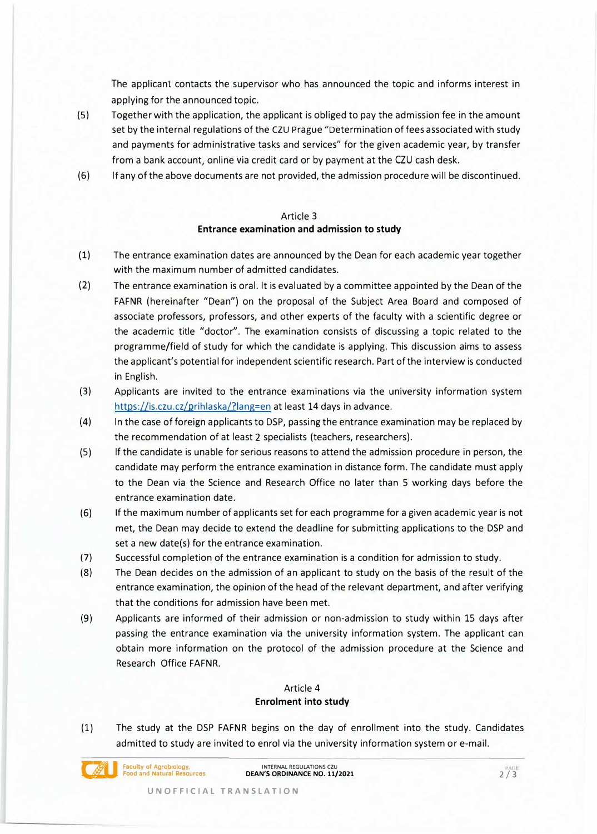The applicant contacts the supervisor who has announced the topic and informs interest in applying for the announced topíc.

- (S) Together with the application, the applicant is obliged to pay the admission fee in the amount set by the internal regulations of the CZU Prague "Determination of fees associated with study and payments for administrative tasks and services" for the given academic year, by transfer from a bank account, online via credit card or by payment at the CZU cash desk.
- (6) lf any of the above documents are not provided, the admission procedure will be discontinued.

#### Article 3

## **Entrance examination and admission to study**

- (1) The entrance examination dates are announced by the Dean for each academic year together with the maximum number of admitted candidates.
- (2) The entrance examination is oral. lt is evaluated by a committee appointed by the Dean of the FAFNR (hereinafter "Dean") on the proposal of the Subject Area Board and composed of associate professors, professors, and other experts of the faculty with a scientific degree or the academic title "doctor". The examination consists of discussing a topic related to the programme/field of study for which the candidate is applying. This discussion aims to assess the applicant's potential for independent scientific research. Part of the interview is conducted in English.
- (3) Applicants are invited to the entrance examinations via the university information system https://is.czu.cz/prihlaska/?lang=en at least 14 days in advance.
- (4) ln the case of foreign applicants to DSP, passing the entrance examination may be replaced by the recommendation of at least 2 specialists (teachers, researchers).
- (S) lf the candidate is unable for serious reasons to attend the admission procedure in person, the candidate may perform the entrance examination in distance form. The candidate must apply to the Dean via the Science and Research Office no later than S working days before the entrance examination date.
- (6) lf the maximum number of applicants set for each programme for a given academic year is not met, the Dean may decide to extend the deadline for submitting applications to the DSP and set a new date(s) for the entrance examination.
- (7) Successful completion of the entrance examination is a condition for admission to study.
- (8) The Dean decides on the admission of an applicant to study on the basis of the result of the entrance examination, the opinion of the head of the relevant department, and after verifying that the conditions for admission have been met.
- (9) Applicants are informed of their admission or non-admission to study within 15 days after passing the entrance examination via the university information system. The applicant can obtain more information on the protocol of the admission procedure at the Science and Research Office FAFNR.

# Article 4 **Enrolment into study**

(1) The study at the DSP FAFNR begins on the day of enrollment into the study. Candidates admitted to study are invited to enrol via the university information system or e-mail.